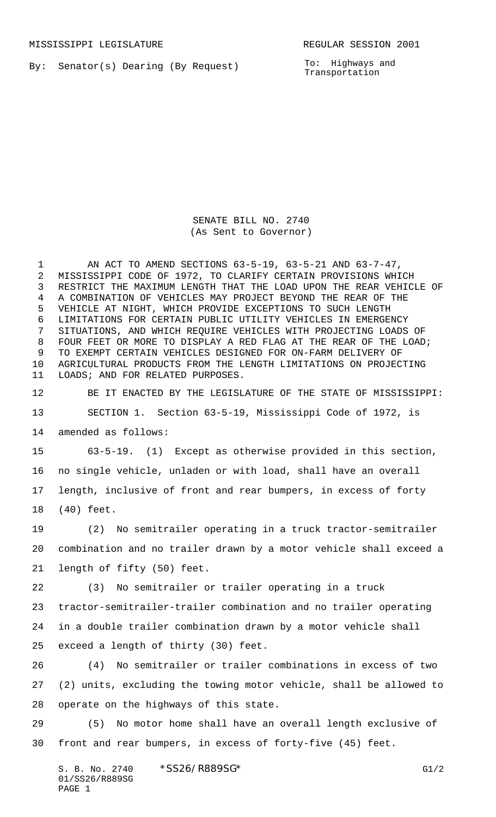By: Senator(s) Dearing (By Request)

To: Highways and Transportation

SENATE BILL NO. 2740 (As Sent to Governor)

 AN ACT TO AMEND SECTIONS 63-5-19, 63-5-21 AND 63-7-47, MISSISSIPPI CODE OF 1972, TO CLARIFY CERTAIN PROVISIONS WHICH RESTRICT THE MAXIMUM LENGTH THAT THE LOAD UPON THE REAR VEHICLE OF A COMBINATION OF VEHICLES MAY PROJECT BEYOND THE REAR OF THE VEHICLE AT NIGHT, WHICH PROVIDE EXCEPTIONS TO SUCH LENGTH LIMITATIONS FOR CERTAIN PUBLIC UTILITY VEHICLES IN EMERGENCY SITUATIONS, AND WHICH REQUIRE VEHICLES WITH PROJECTING LOADS OF FOUR FEET OR MORE TO DISPLAY A RED FLAG AT THE REAR OF THE LOAD; TO EXEMPT CERTAIN VEHICLES DESIGNED FOR ON-FARM DELIVERY OF AGRICULTURAL PRODUCTS FROM THE LENGTH LIMITATIONS ON PROJECTING LOADS; AND FOR RELATED PURPOSES.

BE IT ENACTED BY THE LEGISLATURE OF THE STATE OF MISSISSIPPI:

 SECTION 1. Section 63-5-19, Mississippi Code of 1972, is amended as follows:

 63-5-19. (1) Except as otherwise provided in this section, no single vehicle, unladen or with load, shall have an overall length, inclusive of front and rear bumpers, in excess of forty (40) feet.

 (2) No semitrailer operating in a truck tractor-semitrailer combination and no trailer drawn by a motor vehicle shall exceed a length of fifty (50) feet.

 (3) No semitrailer or trailer operating in a truck tractor-semitrailer-trailer combination and no trailer operating in a double trailer combination drawn by a motor vehicle shall exceed a length of thirty (30) feet.

 (4) No semitrailer or trailer combinations in excess of two (2) units, excluding the towing motor vehicle, shall be allowed to operate on the highways of this state.

 (5) No motor home shall have an overall length exclusive of front and rear bumpers, in excess of forty-five (45) feet.

S. B. No. 2740 \* SS26/R889SG\* G1/2 01/SS26/R889SG PAGE 1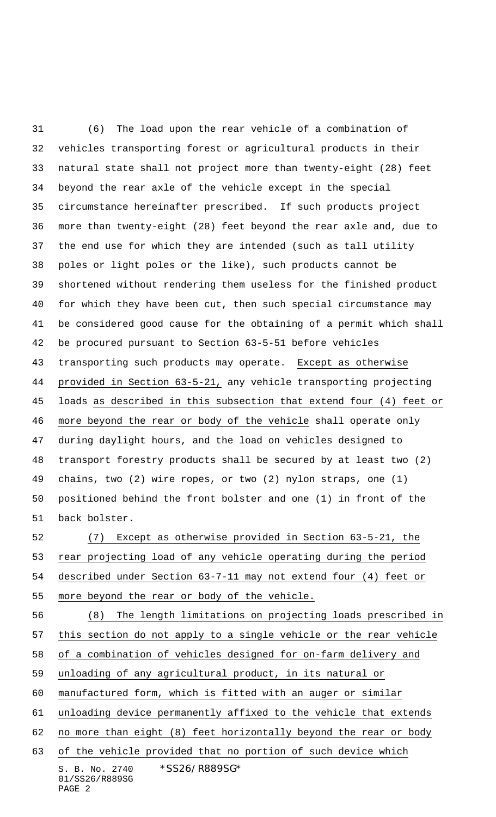(6) The load upon the rear vehicle of a combination of vehicles transporting forest or agricultural products in their natural state shall not project more than twenty-eight (28) feet beyond the rear axle of the vehicle except in the special circumstance hereinafter prescribed. If such products project more than twenty-eight (28) feet beyond the rear axle and, due to the end use for which they are intended (such as tall utility poles or light poles or the like), such products cannot be shortened without rendering them useless for the finished product for which they have been cut, then such special circumstance may be considered good cause for the obtaining of a permit which shall be procured pursuant to Section 63-5-51 before vehicles 43 transporting such products may operate. Except as otherwise provided in Section 63-5-21, any vehicle transporting projecting loads as described in this subsection that extend four (4) feet or more beyond the rear or body of the vehicle shall operate only during daylight hours, and the load on vehicles designed to transport forestry products shall be secured by at least two (2) chains, two (2) wire ropes, or two (2) nylon straps, one (1) positioned behind the front bolster and one (1) in front of the back bolster.

 (7) Except as otherwise provided in Section 63-5-21, the rear projecting load of any vehicle operating during the period described under Section 63-7-11 may not extend four (4) feet or more beyond the rear or body of the vehicle.

S. B. No. 2740 \*SS26/R889SG\* (8) The length limitations on projecting loads prescribed in this section do not apply to a single vehicle or the rear vehicle of a combination of vehicles designed for on-farm delivery and unloading of any agricultural product, in its natural or manufactured form, which is fitted with an auger or similar unloading device permanently affixed to the vehicle that extends 62 no more than eight (8) feet horizontally beyond the rear or body of the vehicle provided that no portion of such device which